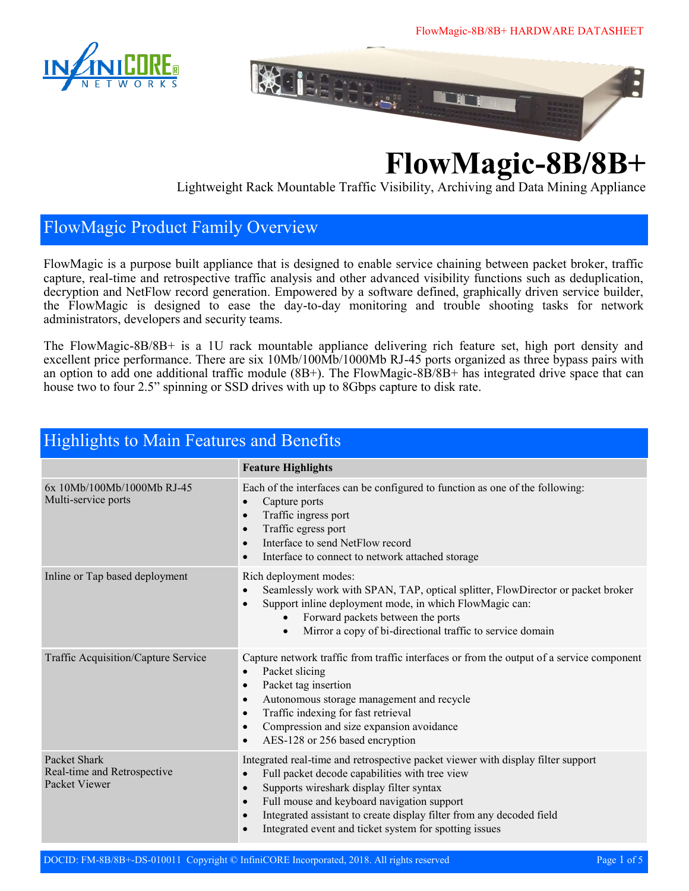



# **FlowMagic-8B/8B+**

Lightweight Rack Mountable Traffic Visibility, Archiving and Data Mining Appliance

#### FlowMagic Product Family Overview

FlowMagic is a purpose built appliance that is designed to enable service chaining between packet broker, traffic capture, real-time and retrospective traffic analysis and other advanced visibility functions such as deduplication, decryption and NetFlow record generation. Empowered by a software defined, graphically driven service builder, the FlowMagic is designed to ease the day-to-day monitoring and trouble shooting tasks for network administrators, developers and security teams.

The FlowMagic-8B/8B+ is a 1U rack mountable appliance delivering rich feature set, high port density and excellent price performance. There are six 10Mb/100Mb/1000Mb RJ-45 ports organized as three bypass pairs with an option to add one additional traffic module (8B+). The FlowMagic-8B/8B+ has integrated drive space that can house two to four 2.5" spinning or SSD drives with up to 8Gbps capture to disk rate.

| Highlights to Main Features and Benefits                     |                                                                                                                                                                                                                                                                                                                                                                                                                                 |  |
|--------------------------------------------------------------|---------------------------------------------------------------------------------------------------------------------------------------------------------------------------------------------------------------------------------------------------------------------------------------------------------------------------------------------------------------------------------------------------------------------------------|--|
|                                                              | <b>Feature Highlights</b>                                                                                                                                                                                                                                                                                                                                                                                                       |  |
| 6x 10Mb/100Mb/1000Mb RJ-45<br>Multi-service ports            | Each of the interfaces can be configured to function as one of the following:<br>Capture ports<br>$\bullet$<br>Traffic ingress port<br>$\bullet$<br>Traffic egress port<br>$\bullet$<br>Interface to send NetFlow record<br>$\bullet$<br>Interface to connect to network attached storage<br>$\bullet$                                                                                                                          |  |
| Inline or Tap based deployment                               | Rich deployment modes:<br>Seamlessly work with SPAN, TAP, optical splitter, FlowDirector or packet broker<br>$\bullet$<br>Support inline deployment mode, in which FlowMagic can:<br>$\bullet$<br>Forward packets between the ports<br>Mirror a copy of bi-directional traffic to service domain                                                                                                                                |  |
| Traffic Acquisition/Capture Service                          | Capture network traffic from traffic interfaces or from the output of a service component<br>Packet slicing<br>$\bullet$<br>Packet tag insertion<br>$\bullet$<br>Autonomous storage management and recycle<br>$\bullet$<br>Traffic indexing for fast retrieval<br>$\bullet$<br>Compression and size expansion avoidance<br>$\bullet$<br>AES-128 or 256 based encryption<br>$\bullet$                                            |  |
| Packet Shark<br>Real-time and Retrospective<br>Packet Viewer | Integrated real-time and retrospective packet viewer with display filter support<br>Full packet decode capabilities with tree view<br>$\bullet$<br>Supports wireshark display filter syntax<br>$\bullet$<br>Full mouse and keyboard navigation support<br>$\bullet$<br>Integrated assistant to create display filter from any decoded field<br>$\bullet$<br>Integrated event and ticket system for spotting issues<br>$\bullet$ |  |

## Highlights to Main Features and Benefits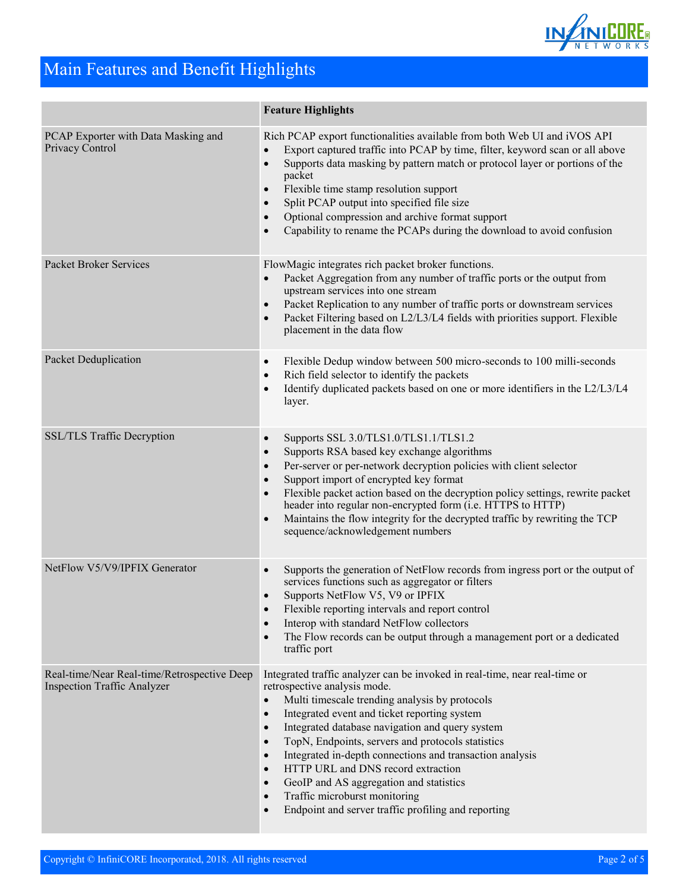

## Main Features and Benefit Highlights

|                                                                                   | <b>Feature Highlights</b>                                                                                                                                                                                                                                                                                                                                                                                                                                                                                                                                                                                                                                                      |
|-----------------------------------------------------------------------------------|--------------------------------------------------------------------------------------------------------------------------------------------------------------------------------------------------------------------------------------------------------------------------------------------------------------------------------------------------------------------------------------------------------------------------------------------------------------------------------------------------------------------------------------------------------------------------------------------------------------------------------------------------------------------------------|
| PCAP Exporter with Data Masking and<br>Privacy Control                            | Rich PCAP export functionalities available from both Web UI and iVOS API<br>Export captured traffic into PCAP by time, filter, keyword scan or all above<br>$\bullet$<br>Supports data masking by pattern match or protocol layer or portions of the<br>$\bullet$<br>packet<br>Flexible time stamp resolution support<br>$\bullet$<br>Split PCAP output into specified file size<br>$\bullet$<br>Optional compression and archive format support<br>$\bullet$<br>Capability to rename the PCAPs during the download to avoid confusion<br>$\bullet$                                                                                                                            |
| Packet Broker Services                                                            | FlowMagic integrates rich packet broker functions.<br>Packet Aggregation from any number of traffic ports or the output from<br>$\bullet$<br>upstream services into one stream<br>Packet Replication to any number of traffic ports or downstream services<br>$\bullet$<br>Packet Filtering based on L2/L3/L4 fields with priorities support. Flexible<br>$\bullet$<br>placement in the data flow                                                                                                                                                                                                                                                                              |
| Packet Deduplication                                                              | Flexible Dedup window between 500 micro-seconds to 100 milli-seconds<br>$\bullet$<br>Rich field selector to identify the packets<br>$\bullet$<br>Identify duplicated packets based on one or more identifiers in the L2/L3/L4<br>$\bullet$<br>layer.                                                                                                                                                                                                                                                                                                                                                                                                                           |
| SSL/TLS Traffic Decryption                                                        | Supports SSL 3.0/TLS1.0/TLS1.1/TLS1.2<br>$\bullet$<br>Supports RSA based key exchange algorithms<br>$\bullet$<br>Per-server or per-network decryption policies with client selector<br>$\bullet$<br>Support import of encrypted key format<br>$\bullet$<br>Flexible packet action based on the decryption policy settings, rewrite packet<br>$\bullet$<br>header into regular non-encrypted form (i.e. HTTPS to HTTP)<br>Maintains the flow integrity for the decrypted traffic by rewriting the TCP<br>$\bullet$<br>sequence/acknowledgement numbers                                                                                                                          |
| NetFlow V5/V9/IPFIX Generator                                                     | Supports the generation of NetFlow records from ingress port or the output of<br>$\bullet$<br>services functions such as aggregator or filters<br>Supports NetFlow V5, V9 or IPFIX<br>$\bullet$<br>Flexible reporting intervals and report control<br>Interop with standard NetFlow collectors<br>$\bullet$<br>The Flow records can be output through a management port or a dedicated<br>$\bullet$<br>traffic port                                                                                                                                                                                                                                                            |
| Real-time/Near Real-time/Retrospective Deep<br><b>Inspection Traffic Analyzer</b> | Integrated traffic analyzer can be invoked in real-time, near real-time or<br>retrospective analysis mode.<br>Multi timescale trending analysis by protocols<br>$\bullet$<br>Integrated event and ticket reporting system<br>$\bullet$<br>Integrated database navigation and query system<br>$\bullet$<br>TopN, Endpoints, servers and protocols statistics<br>$\bullet$<br>Integrated in-depth connections and transaction analysis<br>$\bullet$<br>HTTP URL and DNS record extraction<br>$\bullet$<br>GeoIP and AS aggregation and statistics<br>$\bullet$<br>Traffic microburst monitoring<br>$\bullet$<br>Endpoint and server traffic profiling and reporting<br>$\bullet$ |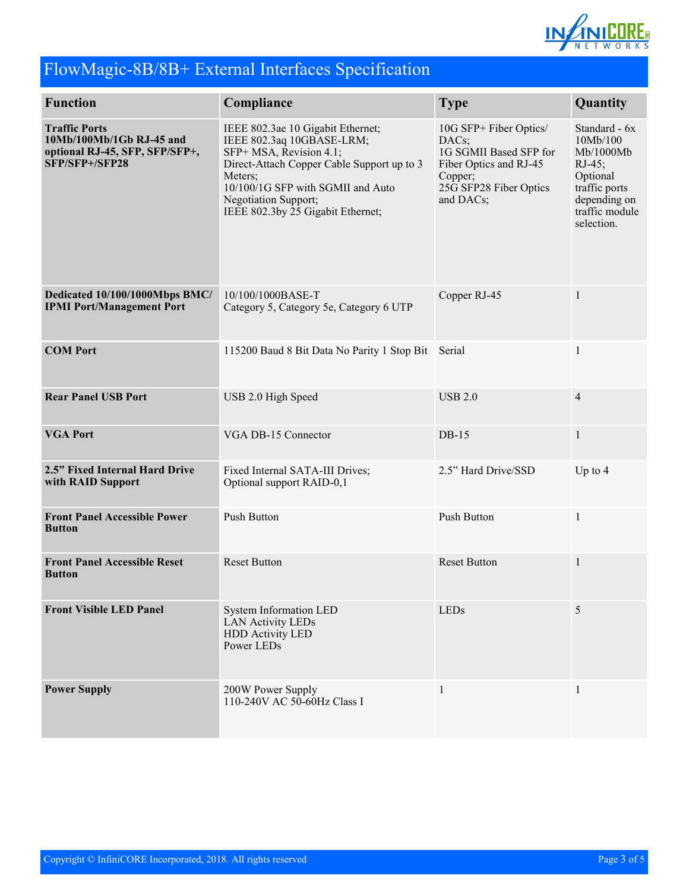

## FlowMagic-8B/8B+ External Interfaces Specification

| <b>Function</b>                                                                                      | Compliance                                                                                                                                                                                                                                           | <b>Type</b>                                                                                                                           | Quantity                                                                                                                         |
|------------------------------------------------------------------------------------------------------|------------------------------------------------------------------------------------------------------------------------------------------------------------------------------------------------------------------------------------------------------|---------------------------------------------------------------------------------------------------------------------------------------|----------------------------------------------------------------------------------------------------------------------------------|
| <b>Traffic Ports</b><br>10Mb/100Mb/1Gb RJ-45 and<br>optional RJ-45, SFP, SFP/SFP+,<br>SFP/SFP+/SFP28 | IEEE 802.3ae 10 Gigabit Ethernet;<br>IEEE 802.3aq 10GBASE-LRM;<br>SFP+ MSA, Revision 4.1;<br>Direct-Attach Copper Cable Support up to 3<br>Meters:<br>10/100/1G SFP with SGMII and Auto<br>Negotiation Support;<br>IEEE 802.3by 25 Gigabit Ethernet; | 10G SFP+ Fiber Optics/<br>DACs;<br>1G SGMII Based SFP for<br>Fiber Optics and RJ-45<br>Copper;<br>25G SFP28 Fiber Optics<br>and DACs; | Standard - 6x<br>10Mb/100<br>Mb/1000Mb<br>$RJ-45$ ;<br>Optional<br>traffic ports<br>depending on<br>traffic module<br>selection. |
| Dedicated 10/100/1000Mbps BMC/<br><b>IPMI Port/Management Port</b>                                   | 10/100/1000BASE-T<br>Category 5, Category 5e, Category 6 UTP                                                                                                                                                                                         | Copper RJ-45                                                                                                                          | $\mathbf{1}$                                                                                                                     |
| <b>COM Port</b>                                                                                      | 115200 Baud 8 Bit Data No Parity 1 Stop Bit Serial                                                                                                                                                                                                   |                                                                                                                                       | 1                                                                                                                                |
| <b>Rear Panel USB Port</b>                                                                           | USB 2.0 High Speed                                                                                                                                                                                                                                   | <b>USB 2.0</b>                                                                                                                        | $\overline{4}$                                                                                                                   |
| <b>VGA Port</b>                                                                                      | VGA DB-15 Connector                                                                                                                                                                                                                                  | $DB-15$                                                                                                                               | $\mathbf{1}$                                                                                                                     |
| 2.5" Fixed Internal Hard Drive<br>with RAID Support                                                  | Fixed Internal SATA-III Drives;<br>Optional support RAID-0,1                                                                                                                                                                                         | 2.5" Hard Drive/SSD                                                                                                                   | Up to $4$                                                                                                                        |
| <b>Front Panel Accessible Power</b><br><b>Button</b>                                                 | <b>Push Button</b>                                                                                                                                                                                                                                   | Push Button                                                                                                                           | $\mathbf{1}$                                                                                                                     |
| <b>Front Panel Accessible Reset</b><br><b>Button</b>                                                 | <b>Reset Button</b>                                                                                                                                                                                                                                  | <b>Reset Button</b>                                                                                                                   | $\mathbf{1}$                                                                                                                     |
| <b>Front Visible LED Panel</b>                                                                       | <b>System Information LED</b><br><b>LAN Activity LEDs</b><br><b>HDD Activity LED</b><br>Power LEDs                                                                                                                                                   | <b>LEDs</b>                                                                                                                           | 5                                                                                                                                |
| <b>Power Supply</b>                                                                                  | 200W Power Supply<br>110-240V AC 50-60Hz Class I                                                                                                                                                                                                     | 1                                                                                                                                     | 1                                                                                                                                |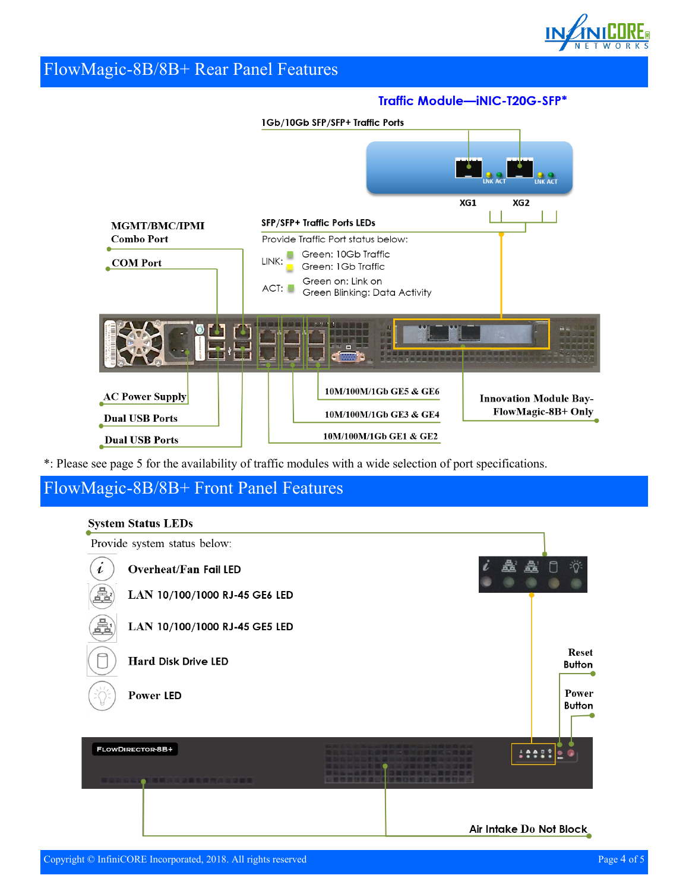

#### FlowMagic-8B/8B+ Rear Panel Features

#### Traffic Module-iNIC-T20G-SFP\*



\*: Please see page 5 for the availability of traffic modules with a wide selection of port specifications.

#### FlowMagic-8B/8B+ Front Panel Features

#### **System Status LEDs**